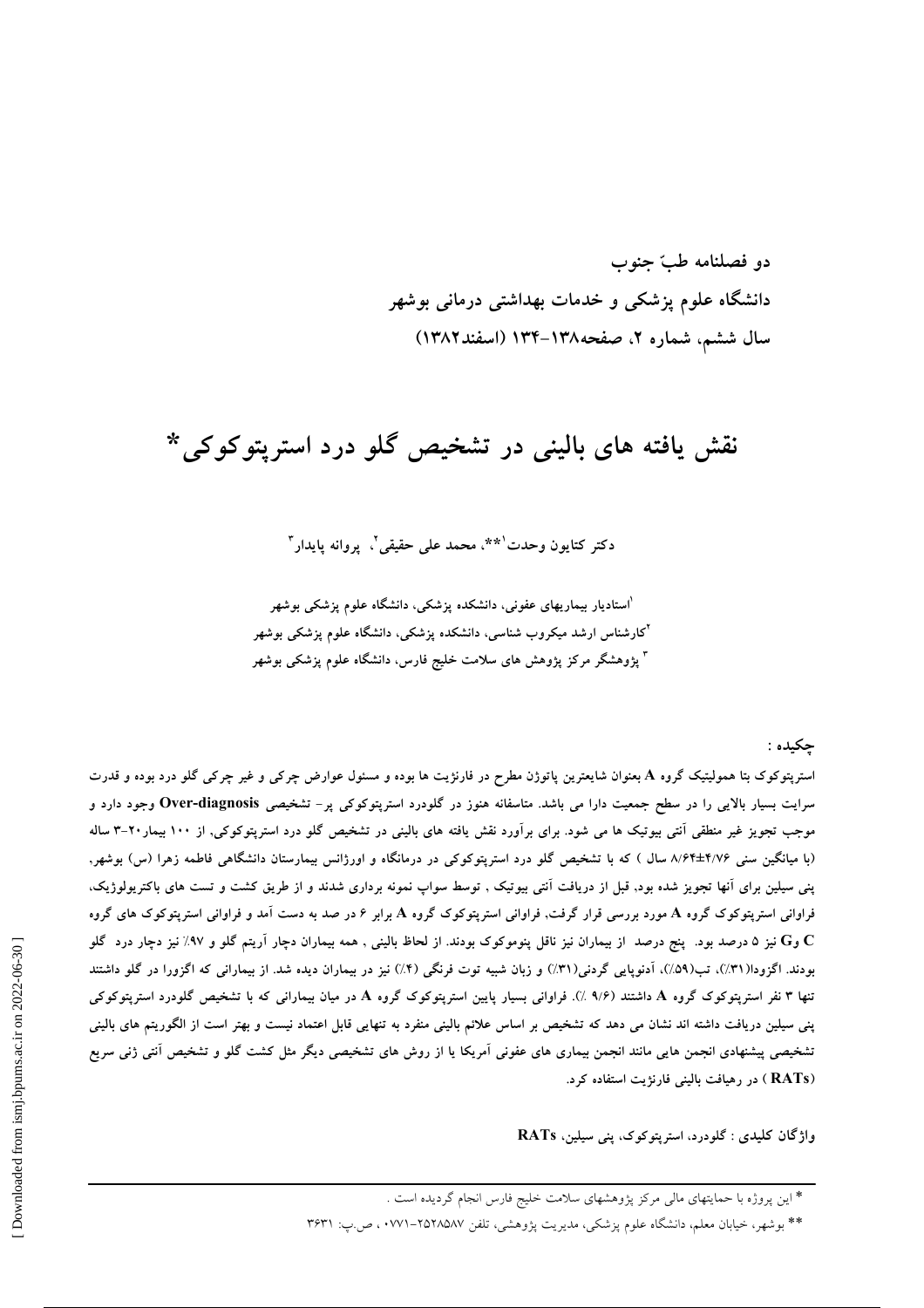دو فصلنامه طبّ جنوب دانشگاه علوم پزشکی و خدمات بهداشتی درمانی بوشهر سال ششم، شماره ۲، صفحه۱۳۸–۱۳۴ (اسفند۱۳۸۲)

## نقش يافته هاي باليني در تشخيص گلو درد استريتوکوکي\*

دكتر كتايون وحدت`\*\*، محمد على حقيقي`. يروانه يايدار ّ

<sup>'ا</sup>ستادیار بیماریهای عفونی، دانشکده پزشکی، دانشگاه علوم پزشکی بوشهر <sup>۲</sup>کارشناس ارشد میکروب شناسی، دانشکده پزشکی، دانشگاه علوم پزشکی بوشهر <sup>۳</sup> پژوهشگر مرکز پژوهش های سلامت خلیج فارس، دانشگاه علوم پزشکی بوشهر

حکىدە :

استرپتوکوک بتا همولیتیک گروه A بعنوان شایعترین پاتوژن مطرح در فارنژیت ها بوده و مسئول عوارض چرکی و غیر چرکی گلو درد بوده و قدرت سرایت بسیار بالایی را در سطح جمعیت دارا می باشد. متاسفانه هنوز در گلودرد استرپتوکوکی پر- تشخیصی Over-diagnosis وجود دارد و موجب تجویز غیر منطقی آنتی بیوتیک ها می شود. برای برآورد نقش یافته های بالینی در تشخیص گلو درد استرپتوکوکی, از ۱۰۰ بیمار۲۰-۳ ساله (با میانگین سنی ۸/۶۴±۲/۷۶ سال ) که با تشخیص گلو درد استریتوکوکی در درمانگاه و اورژانس بیمارستان دانشگاهی فاطمه زهرا (س) بوشهر, پنی سیلین برای آنها تجویز شده بود, قبل از دریافت آنتی بیوتیک , توسط سواپ نمونه برداری شدند و از طریق کشت و تست های باکتریولوژیک، فراوانی استرپتوکوک گروه A مورد بررسی قرار گرفت, فراوانی استرپتوکوک گروه A برابر ۶ در صد به دست آمد و فراوانی استرپتوکوک های گروه تیز ۵ درصد بود. پنج درصد از بیماران نیز ناقل پنوموکوک بودند. از لحاظ بالینی , همه بیماران دچار آریتم گلو و ۹۷٪ نیز دچار درد گلو C بودند. اگزودا(۳۱٪)، تب(۵۹٪)، آدنوپایی گردنی(۳۱٪) و زبان شبیه توت فرنگی (۴٪) نیز در بیماران دیده شد. از بیمارانی که اگزورا در گلو داشتند تنها ۳ نفر استرپتوکوک گروه A داشتند (۹/۶ ٪). فراوانی بسیار پایین استرپتوکوک گروه A در میان بیمارانی که با تشخیص گلودرد استرپتوکوکی پنی سیلین دریافت داشته اند نشان می دهد که تشخیص بر اساس علائم بالینی منفرد به تنهایی قابل اعتماد نیست و بهتر است از الگوریتم های بالینی تشخیصی پیشنهادی انجمن هایی مانند انجمن بیماری های عفونی آمریکا یا از روش های تشخیصی دیگر مثل کشت گلو و تشخیص آنتی ژنی سریع (RATs) در رهیافت بالینی فارنژیت استفاده کرد.

واژگان کلیدی : گلودرد، استریتوکوک، پنی سیلین، RATs

\* این پروژه با حمایتهای مالی مرکز پژوهشهای سلامت خلیج فارس انجام گردیده است .

\*\* بوشهر، خیابان معلم، دانشگاه علوم پزشکی، مدیریت پژوهشی، تلفن ۲۵۲۸۵۸۷-۲۷۷۱. ص.ب: ۳۶۳۱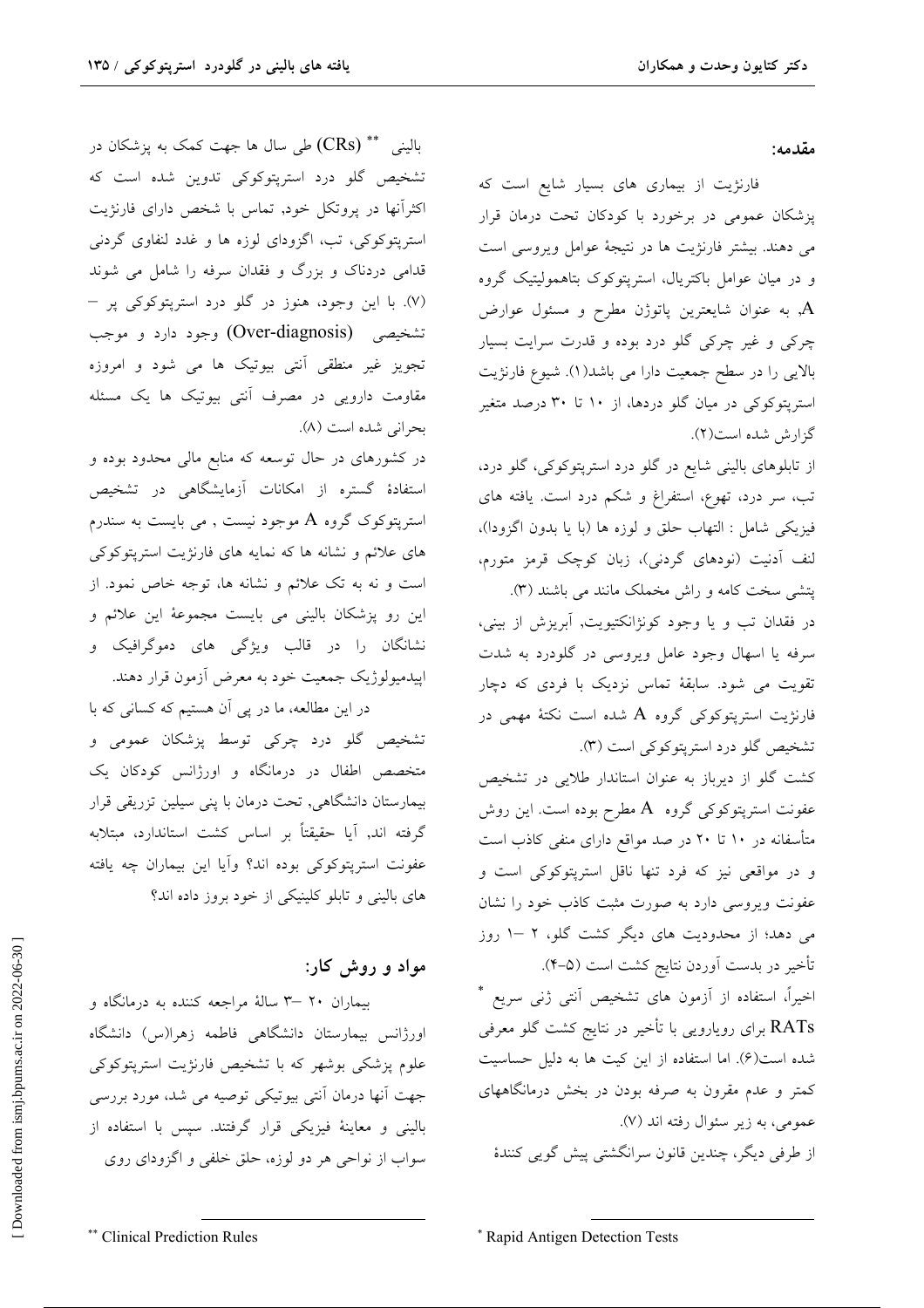مقدمه:

فارنژیت از بیماری های بسیار شایع است که پزشکان عمومی در برخورد با کودکان تحت درمان قرار می دهند. بیشتر فارنژیت ها در نتیجهٔ عوامل ویروسی است و در میان عوامل باکتریال، استرپتوکوک بتاهمولیتیک گروه به عنوان شايعترين پاتوژن مطرح و مسئول عوارض چرکی و غیر چرکی گلو درد بوده و قدرت سرایت بسیار بالایی را در سطح جمعیت دارا می باشد(۱). شیوع فارنژیت استریتوکوکی در میان گلو دردها، از ۱۰ تا ۳۰ درصد متغیر گزارش شده است(٢).

از تابلوهای بالینی شایع در گلو درد استرپتوکوکی، گلو درد، تب، سر درد، تهوع، استفراغ و شکم درد است. یافته های فيزيكي شامل : التهاب حلق و لوزه ها (با يا بدون اگزودا)، لنف آدنیت (نودهای گردنی)، زبان کوچک قرمز متورم، پتشی سخت کامه و راش مخملک مانند می باشند (۳).

در فقدان تب و یا وجود کونژانکتیویت, آبریزش از بینی، سرفه یا اسهال وجود عامل ویروسی در گلودرد به شدت تقویت می شود. سابقهٔ تماس نزدیک با فردی که دچار فارنژیت استرپتوکوکی گروه A شده است نکتهٔ مهمی در تشخیص گلو درد استرپتوکوکی است (۳).

کشت گلو از دیرباز به عنوان استاندار طلایی در تشخیص عفونت استرپتوکوکی گروه  $\,\rm A$  مطرح بوده است. این روش متأسفانه در ۱۰ تا ۲۰ در صد مواقع دارای منفی کاذب است و در مواقعی نیز که فرد تنها ناقل استریتوکوکی است و عفونت ويروسي دارد به صورت مثبت كاذب خود را نشان می دهد؛ از محدودیت های دیگر کشت گلو، ۲ –۱ روز تأخیر در بدست اَوردن نتایج کشت است (۵–۴).

اخیراً، استفاده از آزمون های تشخیص آنتی ژنی سریع \* RATs برای رویارویی با تأخیر در نتایج کشت گلو معرفی شده است(۶). اما استفاده از این کیت ها به دلیل حساسیت کمتر و عدم مقرون به صرفه بودن در بخش درمانگاههای عمومي، به زير سئوال رفته اند (٧). از طرفی دیگر، چندین قانون سرانگشتی پیش گویی کنندهٔ

بالینی  $\rm (CRs)$  طی سال ها جهت کمک به پزشکان در تشخیص گلو درد استریتوکوکی تدوین شده است که اکثرآنها در پروتکل خود, تماس با شخص دارای فارنژیت استریتوکوکی، تب، اگزودای لوزه ها و غدد لنفاوی گردنی قدامی دردناک و بزرگ و فقدان سرفه را شامل می شوند (۷). با این وجود، هنوز در گلو درد استرپتوکوکی پر – تشخیصی (Over-diagnosis) وجود دارد و موجب ۔<br>تجویز غیر منطقی آنتی بیوتیک ها می شود و امروزه مقاومت دارویی در مصرف آنتی بیوتیک ها یک مسئله بحراني شده است (٨).

در کشورهای در حال توسعه که منابع مالی محدود بوده و استفادهٔ گستره از امکانات آزمایشگاهی در تشخیص استریتوکوک گروه A موجود نیست , می بایست به سندرم های علائم و نشانه ها که نمایه های فارنژیت استریتوکوکی است و نه به تک علائم و نشانه ها، توجه خاص نمود. از این رو پزشکان بالینی می بایست مجموعهٔ این علائم و .<br>نشانگان را در قالب ویژگی های دموگرافیک و اپیدمیولوژیک جمعیت خود به معرض آزمون قرار دهند.

در این مطالعه، ما در پی آن هستیم که کسانی که با تشخیص گلو درد چرکی توسط پزشکان عمومی و متخصص اطفال در درمانگاه و اورژانس کودکان یک بیمارستان دانشگاهی, تحت درمان با پنی سیلین تزریقی قرار گرفته اند, آیا حقیقتاً بر اساس کشت استاندارد، مبتلابه عفونت استريتوكوكي بوده اند؟ وآيا اين بيماران چه يافته های بالینی و تابلو کلینیکی از خود بروز داده اند؟

## مواد و روش کار:

بیماران ۲۰ -۳ سالهٔ مراجعه کننده به درمانگاه و اورژانس بیمارستان دانشگاهی فاطمه زهرا(س) دانشگاه علوم پزشکی بوشهر که با تشخیص فارنژیت استرپتوکوکی جهت آنها درمان آنتی بیوتیکی توصیه می شد، مورد بررسی بالینی و معاینهٔ فیزیکی قرار گرفتند. سپس با استفاده از سواب از نواحی هر دو لوزه، حلق خلفی و اگزودای روی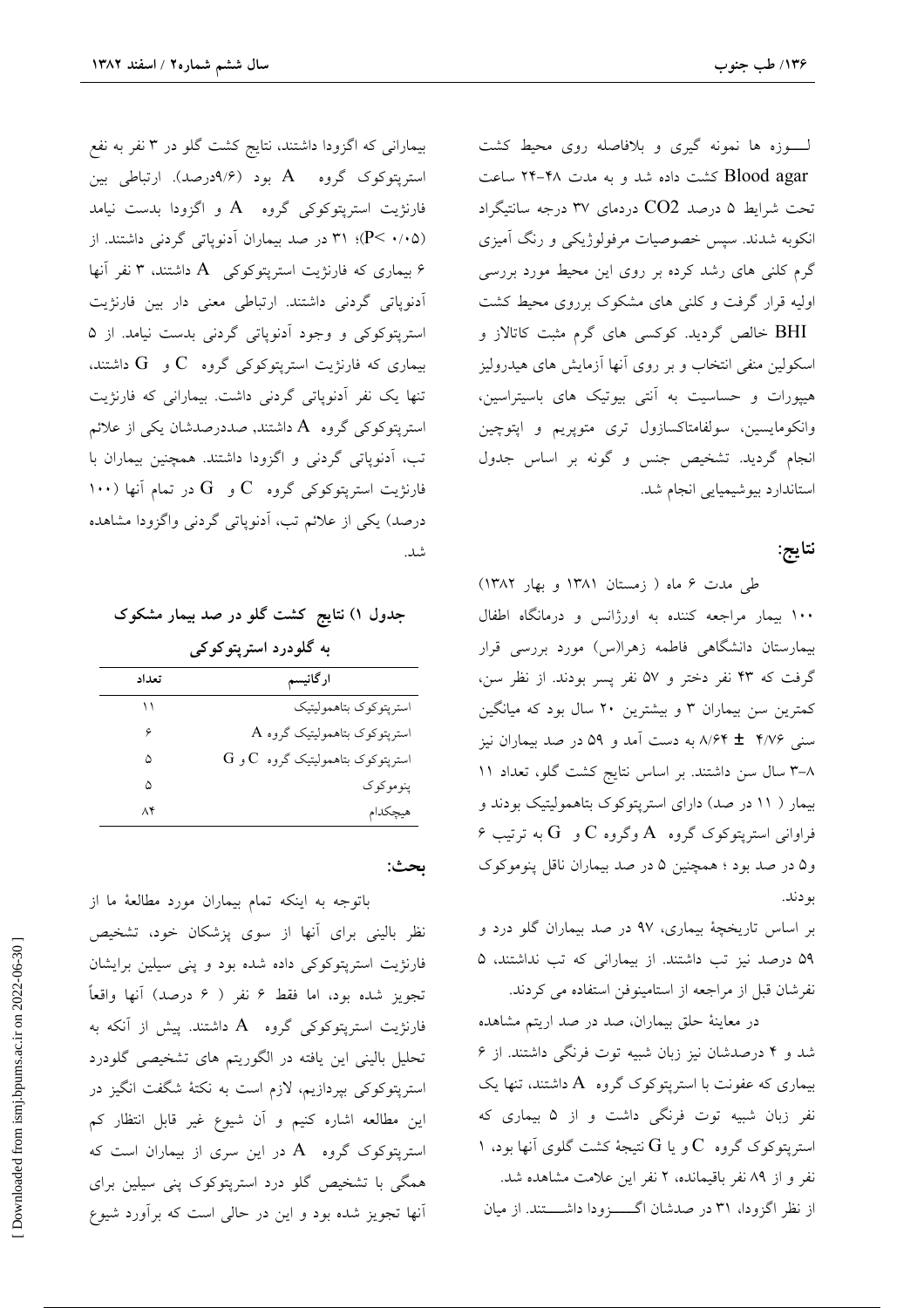بیمارانی که اگزودا داشتند، نتایج کشت گلو در ۳ نفر به نفع استرپتوکوک گروه A بود (۹/۶درصد). ارتباطی بین فارنژیت استریتوکوکی گروه  $A$  و اگزودا بدست نیامد (P< ... ) (P< ...) در صد بیماران آدنوپاتی گردنی داشتند. از ۶ بیماری که فارنژیت استرپتوکوکی A داشتند، ۳ نفر آنها آدنوپاتی گردنی داشتند. ارتباطی معنی دار بین فارنژیت استریتوکوکی و وجود آدنوپاتی گردنی بدست نیامد. از ۵ بیماری که فارنژیت استریتوکوکی گروه  $C$ و  $G$  داشتند، تنها یک نفر آدنوپاتی گردنی داشت. بیمارانی که فارنژیت استرپتوکوکی گروه A داشتند, صددرصدشان یکی از علائم تب، آدنوپاتی گردنی و اگزودا داشتند. همچنین بیماران با ۱۰۰) فارنژیت استریتوکوکی گروه  ${\rm C}$ و  ${\rm G}$  در تمام آنها درصد) یکی از علائم تب، اَدنوپاتی گردنی واگزودا مشاهده شد.

جدول ۱) نتایج کشت گلو در صد بیمار مشکوک به گلودرد استرپتوکوکی

| تعداد | ارگانیسم                                      |
|-------|-----------------------------------------------|
|       | استرپتوكوك بتاهموليتيك                        |
|       | $\rm A$ استرپتوکوک بتاهمولیتیک گروه           |
| ۵     | $\rm G$ استرپتوکوک بتاهمولیتیک گروه $\rm C$ و |
| ۵     | ینو مو کو ک                                   |
| ۸۴    | هيچكدام                                       |

ىحث:

باتوجه به اینکه تمام بیماران مورد مطالعهٔ ما از نظر بالینی برای آنها از سوی پزشکان خود، تشخیص فارنژیت استرپتوکوکی داده شده بود و پنی سیلین برایشان تجويز شده بود، اما فقط ۶ نفر ( ۶ درصد) آنها واقعاً فارنژیت استریتوکوکی گروه  $\rm A$  داشتند. پیش از آنکه به تحلیل بالینی این یافته در الگوریتم های تشخیصی گلودرد استرپتوکوکی بپردازیم، لازم است به نکتهٔ شگفت انگیز در این مطالعه اشاره کنیم و آن شیوع غیر قابل انتظار کم استرپتوکوک گروه  $\rm A$  در این سری از بیماران است که همگی با تشخیص گلو درد استرپتوکوک پنی سیلین برای آنها تجویز شده بود و این در حالی است که برآورد شیوع

لـوزه ها نمونه گیری و بلافاصله روی محیط کشت Blood agar کشت داده شد و به مدت ۴۸-۲۴ ساعت تحت شرایط ۵ درصد CO2 دردمای ۳۷ درجه سانتیگراد انکوبه شدند. سپس خصوصیات مرفولوژیکی و رنگ آمیزی گرم کلنی های رشد کرده بر روی این محیط مورد بررسی اولیه قرار گرفت و کلنی های مشکوک برروی محیط کشت BHI خالص گردید. کوکسی های گرم مثبت کاتالاز و اسکولین منفی انتخاب و بر روی آنها آزمایش های هیدرولیز هیپورات و حساسیت به آنتی بیوتیک های باسیتراسین، وانکومایسین، سولفامتاکسازول تری متوپریم و اپتوچین انجام گردید. تشخیص جنس و گونه بر اساس جدول استاندارد بيوشيميايي انجام شد.

## نتايج:

طی مدت ۶ ماه ( زمستان ۱۳۸۱ و بهار ۱۳۸۲) ۱۰۰ بیمار مراجعه کننده به اورژانس و درمانگاه اطفال بیمارستان دانشگاهی فاطمه زهرا(س) مورد بررسی قرار گرفت که ۴۳ نفر دختر و ۵۷ نفر پسر بودند. از نظر سن، کمترین سن بیماران ۳ و بیشترین ۲۰ سال بود که میانگین سنی ۸/۶۴ ± ۸/۶۴ به دست آمد و ۵۹ در صد بیماران نیز ٨-٣ سال سن داشتند. بر اساس نتايج كشت گلو، تعداد ١١ بیمار ( ١١ در صد) دارای استرپتوکوک بتاهمولیتیک بودند و  $\beta$  فراوانی استریتوکوک گروه  $A$  وگروه  $C$  و  $G$  به ترتیب و۵ در صد بود ؛ همچنین ۵ در صد بیماران ناقل پنوموکوک بو دند.

بر اساس تاریخچهٔ بیماری، ۹۷ در صد بیماران گلو درد و ۵۹ درصد نیز تب داشتند. از بیمارانی که تب نداشتند، ۵ نفرشان قبل از مراجعه از استامینوفن استفاده می کردند.

در معاینهٔ حلق بیماران، صد در صد اریتم مشاهده شد و ۴ درصدشان نیز زبان شبیه توت فرنگی داشتند. از ۶ بیماری که عفونت با استرپتوکوک گروه A داشتند، تنها یک نفر زبان شبیه توت فرنگی داشت و از ۵ بیماری که استریتوکوک گروه  $\rm C$  و یا  $\rm G$  نتیجهٔ کشت گلوی آنها بود، ۱ نفر و از ۸۹ نفر باقیمانده، ۲ نفر این علامت مشاهده شد. از نظر اگزودا، ۳۱ در صدشان اگسزودا داشتند. از میان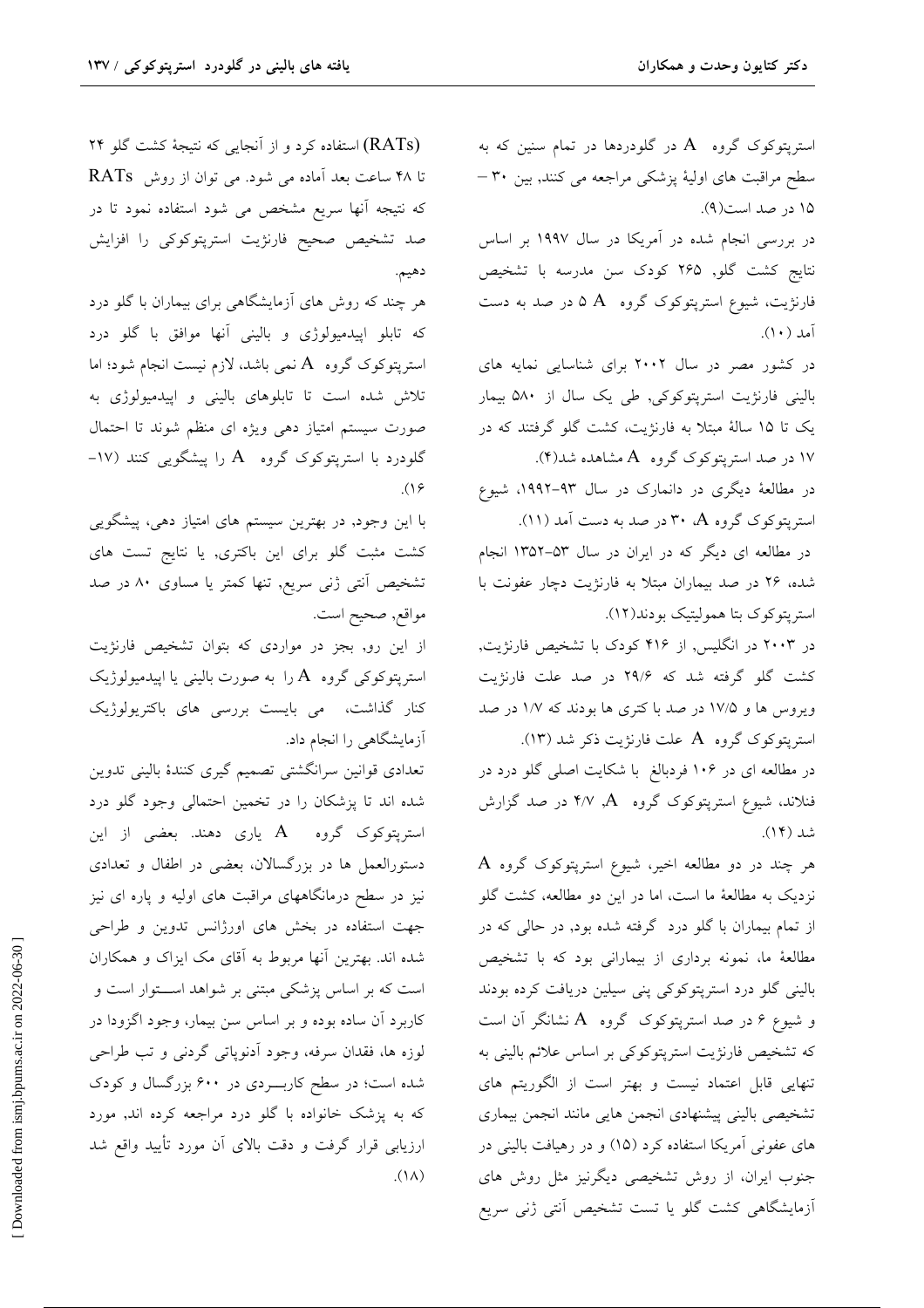استریتوکوک گروه A در گلودردها در تمام سنین که به سطح مراقبت های اولیهٔ پزشکی مراجعه می کنند, بین ۳۰ – ۱۵ در صد است(۹). در بررسی انجام شده در آمریکا در سال ۱۹۹۷ بر اساس

نتايج كشت گلو, ۲۶۵ كودك سن مدرسه با تشخيص فارنژیت، شیوع استرپتوکوک گروه A ۵ در صد به دست آمد (١٠).

در کشور مصر در سال ۲۰۰۲ برای شناسایی نمایه های بالینی فارنژیت استرپتوکوکی, طی یک سال از ۵۸۰ بیمار یک تا ۱۵ سالهٔ مبتلا به فارنژیت، کشت گلو گرفتند که در ۱۷ در صد استریتوکوک گروه A مشاهده شد(۴).

در مطالعهٔ دیگری در دانمارک در سال ۹۳–۱۹۹۲، شیوع استریتوکوک گروه A، ۳۰ در صد به دست آمد (۱۱).

در مطالعه ای دیگر که در ایران در سال ۵۳–۱۳۵۲ انجام شده، ۲۶ در صد بیماران مبتلا به فارنژیت دچار عفونت با استریتوکوک بتا همولیتیک بودند(١٢).

در ۲۰۰۳ در انگلیس, از ۴۱۶ کودک با تشخیص فارنژیت, کشت گلو گرفته شد که ۲۹/۶ در صد علت فارنژیت ویروس ها و ۱۷/۵ در صد با کتری ها بودند که ۱/۷ در صد استرپتوکوک گروه A علت فارنژیت ذکر شد (١٣).

در مطالعه ای در ۱۰۶ فردبالغ با شکایت اصلی گلو درد در فنلاند، شیوع استرپتوکوک گروه A, ۴/۷ در صد گزارش شد (۱۴).

هر چند در دو مطالعه اخیر، شیوع استرپتوکوک گروه A نزدیک به مطالعهٔ ما است، اما در این دو مطالعه، کشت گلو از تمام بیماران با گلو درد گرفته شده بود, در حالی که در مطالعهٔ ما، نمونه برداری از بیمارانی بود که با تشخیص بالینی گلو درد استرپتوکوکی پنی سیلین دریافت کرده بودند و شیوع ۶ در صد استرپتوکوک گروه A نشانگر آن است که تشخیص فارنژیت استرپتوکوکی بر اساس علائم بالینی به تنهایی قابل اعتماد نیست و بهتر است از الگوریتم های تشخيصي باليني ييشنهادي انجمن هايي مانند انجمن بيماري های عفونی آمریکا استفاده کرد (۱۵) و در رهیافت بالینی در جنوب ایران، از روش تشخیصی دیگرنیز مثل روش های أزمايشگاهي كشت گلو يا تست تشخيص أنتي ژني سريع

(RATs) استفاده کرد و از آنجایی که نتیجهٔ کشت گلو ۲۴ تا ۴۸ ساعت بعد آماده می شود. می توان از روش RATs که نتیجه آنها سریع مشخص می شود استفاده نمود تا در صد تشخیص صحیح فارنژیت استرپتوکوکی را افزایش دهيم.

هر چند که روش های آزمایشگاهی برای بیماران با گلو درد که تابلو اپیدمیولوژی و بالینی آنها موافق با گلو درد استریتوکوک گروه A نمی باشد، لازم نیست انجام شود؛ اما تلاش شده است تا تابلوهای بالینی و اپیدمیولوژی به صورت سیستم امتیاز دهی ویژه ای منظم شوند تا احتمال گلودرد با استریتوکوک گروه A را پیشگویی کنند (۱۷- $(19)$ 

با این وجود, در بهترین سیستم های امتیاز دهی، پیشگویی کشت مثبت گلو برای این باکتری, یا نتایج تست های تشخیص اَنتی ژنی سریع, تنها کمتر یا مساوی ۸۰ در صد مواقع, صحيح است.

از این رو, بجز در مواردی که بتوان تشخیص فارنژیت استریتوکوکی گروه A را به صورت بالینی یا اپیدمیولوژیک کنار گذاشت، می بایست بررسی های باکترپولوژیک آزمایشگاهی را انجام داد.

تعدادى قوانين سرانگشتى تصميم گيرى كنندهٔ بالينى تدوين شده اند تا پزشکان را در تخمین احتمالی وجود گلو درد استریتوکوک گروه A یاری دهند. بعضی از این دستورالعمل ها در بزرگسالان، بعضی در اطفال و تعدادی نیز در سطح درمانگاههای مراقبت های اولیه و پاره ای نیز جهت استفاده در بخش های اورژانس تدوین و طراحی شده اند. بهترین آنها مربوط به آقای مک ایزاک و همکاران است که بر اساس پزشکی مبتنی بر شواهد اســـتوار است و کاربرد آن ساده بوده و بر اساس سن بیمار، وجود اگزودا در لوزه ها، فقدان سرفه، وجود آدنوپاتی گردنی و تب طراحی شده است؛ در سطح کاربـــردی در ۶۰۰ بزرگسال و کودک که به پزشک خانواده با گلو درد مراجعه کرده اند, مورد ارزیابی قرار گرفت و دقت بالای آن مورد تأیید واقع شد  $\Lambda(\Lambda)$